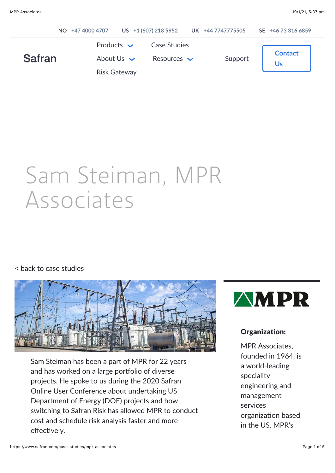|               | NO +47 4000 4707                                          |                                         | US +1 (607) 218 5952 UK +44 7747775505 | SE +46 73 316 6859   |
|---------------|-----------------------------------------------------------|-----------------------------------------|----------------------------------------|----------------------|
| <b>Safran</b> | Products $\vee$<br>About Us $\vee$<br><b>Risk Gateway</b> | <b>Case Studies</b><br>Resources $\vee$ | Support                                | <b>Contact</b><br>Us |

# Sam Steiman, MPR Associates

#### [< back to case studies](https://www.safran.com/case-studies)



Sam Steiman has been a part of MPR for 22 years and has worked on a large portfolio of diverse projects. He spoke to us during the 2020 Safran Online User Conference about undertaking US Department of Energy (DOE) projects and how switching to Safran Risk has allowed MPR to conduct cost and schedule risk analysis faster and more effectively.



#### Organization:

MPR Associates, founded in 1964, is a world-leading speciality engineering and management services organization based in the US. MPR's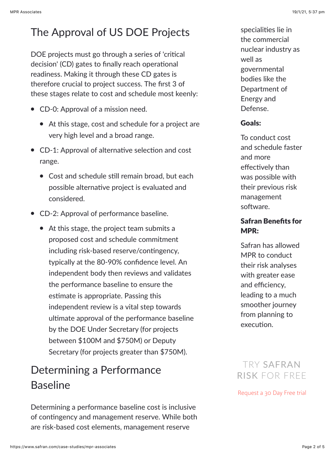## The Approval of US DOE Projects

DOE projects must go through a series of 'critical decision' (CD) gates to finally reach operational readiness. Making it through these CD gates is therefore crucial to project success. The first 3 of these stages relate to cost and schedule most keenly:

- CD-0: Approval of a mission need.
	- At this stage, cost and schedule for a project are very high level and a broad range.
- $\bullet$  CD-1: Approval of alternative selection and cost range.
	- $\bullet$  Cost and schedule still remain broad, but each possible alternative project is evaluated and considered.
- CD-2: Approval of performance baseline.
	- At this stage, the project team submits a proposed cost and schedule commitment including risk-based reserve/contingency, typically at the 80-90% confidence level. An independent body then reviews and validates the performance baseline to ensure the estimate is appropriate. Passing this independent review is a vital step towards ultimate approval of the performance baseline by the DOE Under Secretary (for projects between \$100M and \$750M) or Deputy Secretary (for projects greater than \$750M).

## Determining a Performance Baseline

Determining a performance baseline cost is inclusive of contingency and management reserve. While both are risk-based cost elements, management reserve

specialities lie in the commercial nuclear industry as well as governmental bodies like the Department of Energy and Defense.

#### Goals:

To conduct cost and schedule faster and more effectively than was possible with their previous risk management software

#### Safran Benefits for MPR:

Safran has allowed MPR to conduct their risk analyses with greater ease and efficiency, leading to a much smoother journey from planning to execution.

## TRY SAFRAN RISK FOR FREE

[Request a 30 Day Free trial](https://www.safran.com/risk-free-trial)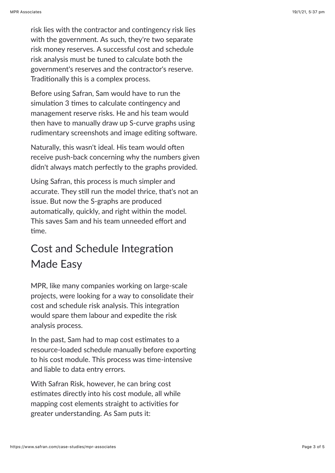risk lies with the contractor and contingency risk lies with the government. As such, they're two separate risk money reserves. A successful cost and schedule risk analysis must be tuned to calculate both the government's reserves and the contractor's reserve. Traditionally this is a complex process.

Before using Safran, Sam would have to run the simulation 3 times to calculate contingency and management reserve risks. He and his team would then have to manually draw up S-curve graphs using rudimentary screenshots and image editing software.

Naturally, this wasn't ideal. His team would often receive push-back concerning why the numbers given didn't always match perfectly to the graphs provided.

Using Safran, this process is much simpler and accurate. They still run the model thrice, that's not an issue. But now the S-graphs are produced automatically, quickly, and right within the model. This saves Sam and his team unneeded effort and time.

# Cost and Schedule Integration Made Easy

MPR, like many companies working on large-scale projects, were looking for a way to consolidate their cost and schedule risk analysis. This integration would spare them labour and expedite the risk analysis process.

In the past, Sam had to map cost estimates to a resource-loaded schedule manually before exporting to his cost module. This process was time-intensive and liable to data entry errors.

With Safran Risk, however, he can bring cost estimates directly into his cost module, all while mapping cost elements straight to activities for greater understanding. As Sam puts it: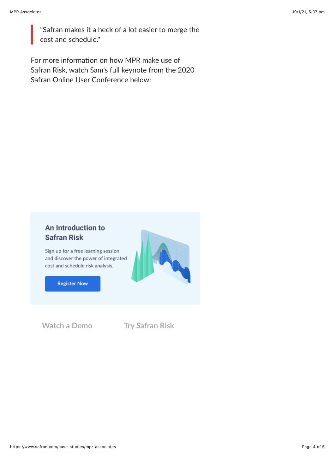"Safran makes it a heck of a lot easier to merge the cost and schedule."

For more information on how MPR make use of Safran Risk, watch Sam's full keynote from the 2020 Safran Online User Conference below:

### An Introduction to **Safran Risk**

Sign up for a free learning session and discover the power of integrated cost and schedule risk analysis.

**Register Now** 

**[Watch a Demo](https://www.safran.com/cs/c/?cta_guid=58eb9f48-b85b-4336-bdbf-8f2e621197cd&signature=AAH58kFC_WXijOpnH7czL6nTofQBCdIUag&pageId=33447571227&placement_guid=9a9c836b-8002-4cbf-ab29-409a7d1bea7f&click=d0ab7992-d05a-4ab7-b50a-2f676e12d5ec&hsutk=effce42cd198e0cc7579cd6db51956c3&canon=https://www.safran.com/case-studies/mpr-associates&utm_referrer=https://www.safran.com/resources?types=Case+studies&topics=Risk&portal_id=2405298&redirect_url=APefjpEDcLTW-pAp6BHrq9Zel7xdCU5arQTCLITxE533MqSRagQGm4E3fS73D5wa_zhKyUtRAReOL6XTaIcn1qsmSxAWWzrlNPxFEs528YsFcmwbd5CHIungQOg1qKkJVMww5NKzoNfzh7RZyidJ-TQTurd-V2YBprBogZWWMZrrmP9J7Cun6aLe53BnA4QFoLfwttxRbQAKLcUjV_0957wVzr23xUL8E7Q8fyhT-pZ9NuC-6AtTICiX9Ab7e338YPiiTHxPNqGkiaI6MJ2sHx4oHuOLalsc-Q&__hstc=177432314.effce42cd198e0cc7579cd6db51956c3.1593579823818.1610934282941.1611037792934.8&__hssc=177432314.15.1611037792934&__hsfp=2104221593&contentType=blog-post) [Try Safran Risk](https://www.safran.com/cs/c/?cta_guid=a01e0e35-39d0-4aae-bb4d-a5a05afeb2e8&signature=AAH58kGsEqVVlKkX5zTgQhRWK3ve37UIeg&pageId=33447571227&placement_guid=8c14f8e5-030b-4bb1-a04e-97ade25d4b36&click=76f1366a-b9fc-4d34-982b-458d7b75901d&hsutk=effce42cd198e0cc7579cd6db51956c3&canon=https://www.safran.com/case-studies/mpr-associates&utm_referrer=https://www.safran.com/resources?types=Case+studies&topics=Risk&portal_id=2405298&redirect_url=APefjpGSJXWf4E0HqwiS1N4whnQL5nrzAFdKC0jP8zB_RhjaDMOif-OSgux6nd7zl_PYDJwIqgYOXDFnbNV9GFDt3gT2EDpHawB5_hizO5ZELZcLoieBDeAmomVx7j6Mnhx0CbYj4fBUtLNqxMVCNFzdxNS6EaVpRYLBeFPElOvyWNzWWm3mU7uc2Rwyy_esS8FNhvGneRFHrDbqJ8NQG-vkuYCGsY0TPgjScDxKSsPgC3yUb3ipDd1ufTEie3S0c_8JLxxQFpTXeCeXnNFBSXVCyKe6QNdvzw&__hstc=177432314.effce42cd198e0cc7579cd6db51956c3.1593579823818.1610934282941.1611037792934.8&__hssc=177432314.15.1611037792934&__hsfp=2104221593&contentType=blog-post)**